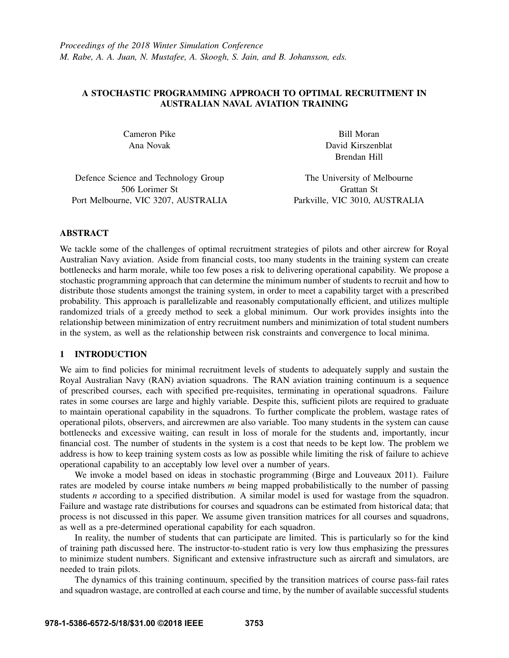# A STOCHASTIC PROGRAMMING APPROACH TO OPTIMAL RECRUITMENT IN AUSTRALIAN NAVAL AVIATION TRAINING

Cameron Pike Ana Novak

Bill Moran David Kirszenblat Brendan Hill

Defence Science and Technology Group 506 Lorimer St Port Melbourne, VIC 3207, AUSTRALIA

The University of Melbourne Grattan St Parkville, VIC 3010, AUSTRALIA

# ABSTRACT

We tackle some of the challenges of optimal recruitment strategies of pilots and other aircrew for Royal Australian Navy aviation. Aside from financial costs, too many students in the training system can create bottlenecks and harm morale, while too few poses a risk to delivering operational capability. We propose a stochastic programming approach that can determine the minimum number of students to recruit and how to distribute those students amongst the training system, in order to meet a capability target with a prescribed probability. This approach is parallelizable and reasonably computationally efficient, and utilizes multiple randomized trials of a greedy method to seek a global minimum. Our work provides insights into the relationship between minimization of entry recruitment numbers and minimization of total student numbers in the system, as well as the relationship between risk constraints and convergence to local minima.

# 1 INTRODUCTION

We aim to find policies for minimal recruitment levels of students to adequately supply and sustain the Royal Australian Navy (RAN) aviation squadrons. The RAN aviation training continuum is a sequence of prescribed courses, each with specified pre-requisites, terminating in operational squadrons. Failure rates in some courses are large and highly variable. Despite this, sufficient pilots are required to graduate to maintain operational capability in the squadrons. To further complicate the problem, wastage rates of operational pilots, observers, and aircrewmen are also variable. Too many students in the system can cause bottlenecks and excessive waiting, can result in loss of morale for the students and, importantly, incur financial cost. The number of students in the system is a cost that needs to be kept low. The problem we address is how to keep training system costs as low as possible while limiting the risk of failure to achieve operational capability to an acceptably low level over a number of years.

We invoke a model based on ideas in stochastic programming (Birge and Louveaux 2011). Failure rates are modeled by course intake numbers *m* being mapped probabilistically to the number of passing students *n* according to a specified distribution. A similar model is used for wastage from the squadron. Failure and wastage rate distributions for courses and squadrons can be estimated from historical data; that process is not discussed in this paper. We assume given transition matrices for all courses and squadrons, as well as a pre-determined operational capability for each squadron.

In reality, the number of students that can participate are limited. This is particularly so for the kind of training path discussed here. The instructor-to-student ratio is very low thus emphasizing the pressures to minimize student numbers. Significant and extensive infrastructure such as aircraft and simulators, are needed to train pilots.

The dynamics of this training continuum, specified by the transition matrices of course pass-fail rates and squadron wastage, are controlled at each course and time, by the number of available successful students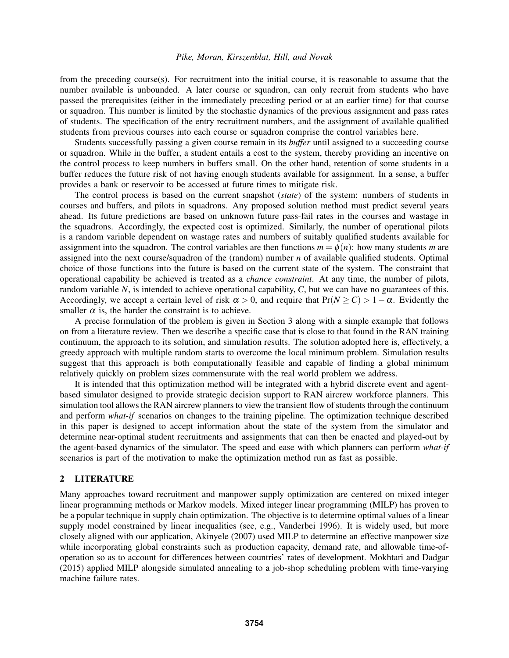from the preceding course(s). For recruitment into the initial course, it is reasonable to assume that the number available is unbounded. A later course or squadron, can only recruit from students who have passed the prerequisites (either in the immediately preceding period or at an earlier time) for that course or squadron. This number is limited by the stochastic dynamics of the previous assignment and pass rates of students. The specification of the entry recruitment numbers, and the assignment of available qualified students from previous courses into each course or squadron comprise the control variables here.

Students successfully passing a given course remain in its *buffer* until assigned to a succeeding course or squadron. While in the buffer, a student entails a cost to the system, thereby providing an incentive on the control process to keep numbers in buffers small. On the other hand, retention of some students in a buffer reduces the future risk of not having enough students available for assignment. In a sense, a buffer provides a bank or reservoir to be accessed at future times to mitigate risk.

The control process is based on the current snapshot (*state*) of the system: numbers of students in courses and buffers, and pilots in squadrons. Any proposed solution method must predict several years ahead. Its future predictions are based on unknown future pass-fail rates in the courses and wastage in the squadrons. Accordingly, the expected cost is optimized. Similarly, the number of operational pilots is a random variable dependent on wastage rates and numbers of suitably qualified students available for assignment into the squadron. The control variables are then functions  $m = \phi(n)$ : how many students *m* are assigned into the next course/squadron of the (random) number *n* of available qualified students. Optimal choice of those functions into the future is based on the current state of the system. The constraint that operational capability be achieved is treated as a *chance constraint*. At any time, the number of pilots, random variable *N*, is intended to achieve operational capability, *C*, but we can have no guarantees of this. Accordingly, we accept a certain level of risk  $\alpha > 0$ , and require that  $Pr(N \ge C) > 1 - \alpha$ . Evidently the smaller  $\alpha$  is, the harder the constraint is to achieve.

A precise formulation of the problem is given in Section 3 along with a simple example that follows on from a literature review. Then we describe a specific case that is close to that found in the RAN training continuum, the approach to its solution, and simulation results. The solution adopted here is, effectively, a greedy approach with multiple random starts to overcome the local minimum problem. Simulation results suggest that this approach is both computationally feasible and capable of finding a global minimum relatively quickly on problem sizes commensurate with the real world problem we address.

It is intended that this optimization method will be integrated with a hybrid discrete event and agentbased simulator designed to provide strategic decision support to RAN aircrew workforce planners. This simulation tool allows the RAN aircrew planners to view the transient flow of students through the continuum and perform *what-if* scenarios on changes to the training pipeline. The optimization technique described in this paper is designed to accept information about the state of the system from the simulator and determine near-optimal student recruitments and assignments that can then be enacted and played-out by the agent-based dynamics of the simulator. The speed and ease with which planners can perform *what-if* scenarios is part of the motivation to make the optimization method run as fast as possible.

## 2 LITERATURE

Many approaches toward recruitment and manpower supply optimization are centered on mixed integer linear programming methods or Markov models. Mixed integer linear programming (MILP) has proven to be a popular technique in supply chain optimization. The objective is to determine optimal values of a linear supply model constrained by linear inequalities (see, e.g., Vanderbei 1996). It is widely used, but more closely aligned with our application, Akinyele (2007) used MILP to determine an effective manpower size while incorporating global constraints such as production capacity, demand rate, and allowable time-ofoperation so as to account for differences between countries' rates of development. Mokhtari and Dadgar (2015) applied MILP alongside simulated annealing to a job-shop scheduling problem with time-varying machine failure rates.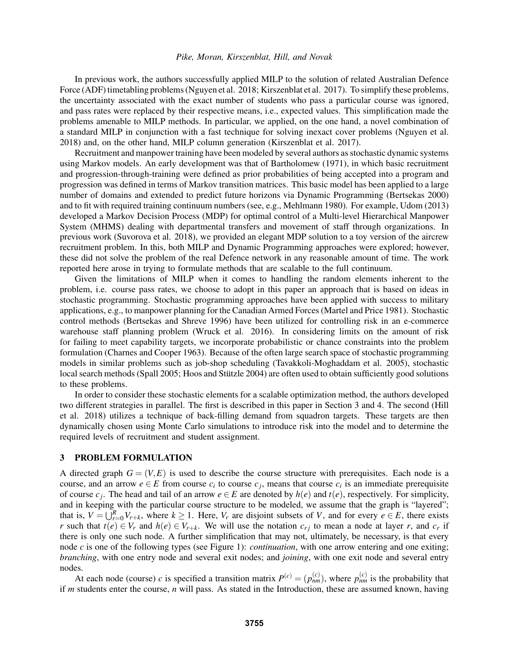In previous work, the authors successfully applied MILP to the solution of related Australian Defence Force (ADF) timetabling problems (Nguyen et al. 2018; Kirszenblat et al. 2017). To simplify these problems, the uncertainty associated with the exact number of students who pass a particular course was ignored, and pass rates were replaced by their respective means, i.e., expected values. This simplification made the problems amenable to MILP methods. In particular, we applied, on the one hand, a novel combination of a standard MILP in conjunction with a fast technique for solving inexact cover problems (Nguyen et al. 2018) and, on the other hand, MILP column generation (Kirszenblat et al. 2017).

Recruitment and manpower training have been modeled by several authors as stochastic dynamic systems using Markov models. An early development was that of Bartholomew (1971), in which basic recruitment and progression-through-training were defined as prior probabilities of being accepted into a program and progression was defined in terms of Markov transition matrices. This basic model has been applied to a large number of domains and extended to predict future horizons via Dynamic Programming (Bertsekas 2000) and to fit with required training continuum numbers (see, e.g., Mehlmann 1980). For example, Udom (2013) developed a Markov Decision Process (MDP) for optimal control of a Multi-level Hierarchical Manpower System (MHMS) dealing with departmental transfers and movement of staff through organizations. In previous work (Suvorova et al. 2018), we provided an elegant MDP solution to a toy version of the aircrew recruitment problem. In this, both MILP and Dynamic Programming approaches were explored; however, these did not solve the problem of the real Defence network in any reasonable amount of time. The work reported here arose in trying to formulate methods that are scalable to the full continuum.

Given the limitations of MILP when it comes to handling the random elements inherent to the problem, i.e. course pass rates, we choose to adopt in this paper an approach that is based on ideas in stochastic programming. Stochastic programming approaches have been applied with success to military applications, e.g., to manpower planning for the Canadian Armed Forces (Martel and Price 1981). Stochastic control methods (Bertsekas and Shreve 1996) have been utilized for controlling risk in an e-commerce warehouse staff planning problem (Wruck et al. 2016). In considering limits on the amount of risk for failing to meet capability targets, we incorporate probabilistic or chance constraints into the problem formulation (Charnes and Cooper 1963). Because of the often large search space of stochastic programming models in similar problems such as job-shop scheduling (Tavakkoli-Moghaddam et al. 2005), stochastic local search methods (Spall 2005; Hoos and Stützle 2004) are often used to obtain sufficiently good solutions to these problems.

In order to consider these stochastic elements for a scalable optimization method, the authors developed two different strategies in parallel. The first is described in this paper in Section 3 and 4. The second (Hill et al. 2018) utilizes a technique of back-filling demand from squadron targets. These targets are then dynamically chosen using Monte Carlo simulations to introduce risk into the model and to determine the required levels of recruitment and student assignment.

#### 3 PROBLEM FORMULATION

A directed graph  $G = (V, E)$  is used to describe the course structure with prerequisites. Each node is a course, and an arrow  $e \in E$  from course  $c_i$  to course  $c_j$ , means that course  $c_i$  is an immediate prerequisite of course  $c_j$ . The head and tail of an arrow  $e \in E$  are denoted by  $h(e)$  and  $t(e)$ , respectively. For simplicity, and in keeping with the particular course structure to be modeled, we assume that the graph is "layered"; that is,  $V = \bigcup_{r=0}^{R} V_{r+k}$ , where  $k \ge 1$ . Here,  $V_r$  are disjoint subsets of *V*, and for every  $e \in E$ , there exists *r* such that  $t(e) \in V_r$  and  $h(e) \in V_{r+k}$ . We will use the notation  $c_{rj}$  to mean a node at layer *r*, and  $c_r$  if there is only one such node. A further simplification that may not, ultimately, be necessary, is that every node *c* is one of the following types (see Figure 1): *continuation*, with one arrow entering and one exiting; *branching*, with one entry node and several exit nodes; and *joining*, with one exit node and several entry nodes.

At each node (course) *c* is specified a transition matrix  $P^{(c)} = (p_{nm}^{(c)})$ , where  $p_{nm}^{(c)}$  is the probability that if *m* students enter the course, *n* will pass. As stated in the Introduction, these are assumed known, having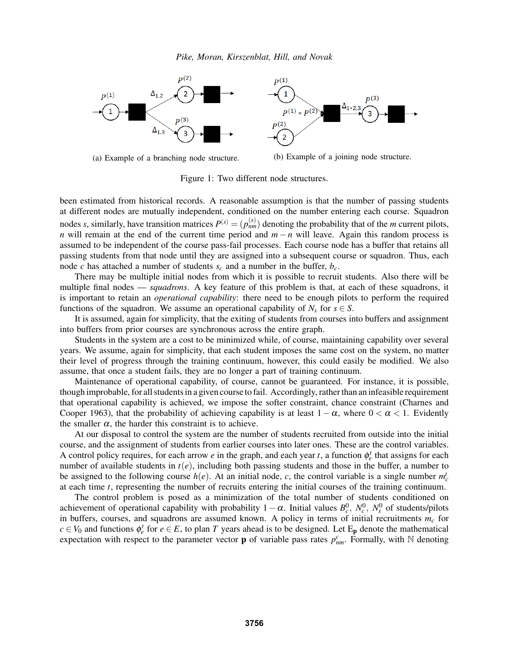

(a) Example of a branching node structure. (b) Example of a joining node structure.

Figure 1: Two different node structures.

been estimated from historical records. A reasonable assumption is that the number of passing students at different nodes are mutually independent, conditioned on the number entering each course. Squadron nodes *s*, similarly, have transition matrices  $P^{(s)} = (p_{nm}^{(s)})$  denoting the probability that of the *m* current pilots, *n* will remain at the end of the current time period and *m*−*n* will leave. Again this random process is assumed to be independent of the course pass-fail processes. Each course node has a buffer that retains all passing students from that node until they are assigned into a subsequent course or squadron. Thus, each node *c* has attached a number of students *s<sup>c</sup>* and a number in the buffer, *bc*.

There may be multiple initial nodes from which it is possible to recruit students. Also there will be multiple final nodes — *squadrons*. A key feature of this problem is that, at each of these squadrons, it is important to retain an *operational capability*: there need to be enough pilots to perform the required functions of the squadron. We assume an operational capability of  $N_s$  for  $s \in S$ .

It is assumed, again for simplicity, that the exiting of students from courses into buffers and assignment into buffers from prior courses are synchronous across the entire graph.

Students in the system are a cost to be minimized while, of course, maintaining capability over several years. We assume, again for simplicity, that each student imposes the same cost on the system, no matter their level of progress through the training continuum, however, this could easily be modified. We also assume, that once a student fails, they are no longer a part of training continuum.

Maintenance of operational capability, of course, cannot be guaranteed. For instance, it is possible, though improbable, for all students in a given course to fail. Accordingly, rather than an infeasible requirement that operational capability is achieved, we impose the softer constraint, chance constraint (Charnes and Cooper 1963), that the probability of achieving capability is at least  $1-\alpha$ , where  $0 < \alpha < 1$ . Evidently the smaller  $\alpha$ , the harder this constraint is to achieve.

At our disposal to control the system are the number of students recruited from outside into the initial course, and the assignment of students from earlier courses into later ones. These are the control variables. A control policy requires, for each arrow *e* in the graph, and each year *t*, a function  $\phi_e^t$  that assigns for each number of available students in *t*(*e*), including both passing students and those in the buffer, a number to be assigned to the following course  $h(e)$ . At an initial node, *c*, the control variable is a single number  $m_c^t$ at each time *t*, representing the number of recruits entering the initial courses of the training continuum.

The control problem is posed as a minimization of the total number of students conditioned on achievement of operational capability with probability  $1 - \alpha$ . Initial values  $B_c^0$ ,  $N_c^0$ ,  $N_s^0$  of students/pilots in buffers, courses, and squadrons are assumed known. A policy in terms of initial recruitments *m<sup>c</sup>* for  $c \in V_0$  and functions  $\phi_e^t$  for  $e \in E$ , to plan *T* years ahead is to be designed. Let E<sub>p</sub> denote the mathematical expectation with respect to the parameter vector **p** of variable pass rates  $p_{nm}^c$ . Formally, with N denoting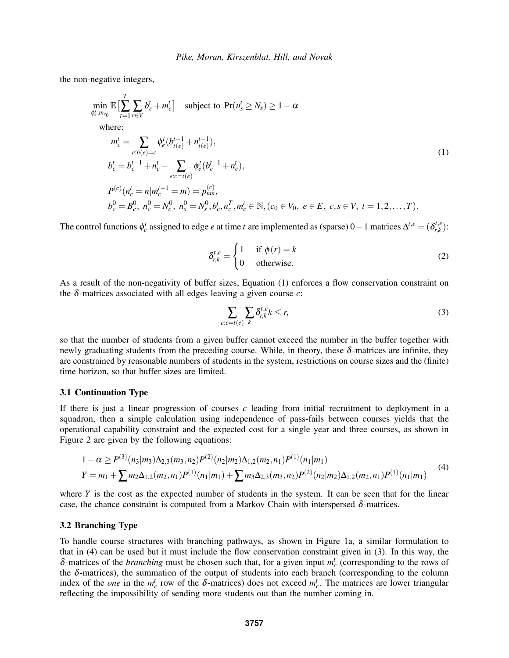the non-negative integers,

$$
\min_{\phi_e^t, m_{c_0}} \mathbb{E} \left[ \sum_{t=1}^T \sum_{c \in V} b_c^t + m_c^t \right] \text{ subject to } \Pr(n_s^t \ge N_s) \ge 1 - \alpha
$$
\n
$$
\text{where:}
$$
\n
$$
m_c^t = \sum_{e:h(e)=c} \phi_e^t (b_{t(e)}^{t-1} + n_{t(e)}^{t-1}),
$$
\n
$$
b_c^t = b_c^{t-1} + n_c^t - \sum_{e:c=t(e)} \phi_e^t (b_c^{t-1} + n_c^t),
$$
\n
$$
P^{(c)} (n_c^t = n | m_c^{t-1} = m) = p_{nm}^{(c)},
$$
\n
$$
b_c^0 = B_c^0, n_c^0 = N_c^0, n_s^0 = N_s^0, b_c^t, n_c^T, m_c^t \in \mathbb{N}, (c_0 \in V_0, e \in E, c, s \in V, t = 1, 2, ..., T).
$$
\n(1)

The control functions  $\phi_e^t$  assigned to edge *e* at time *t* are implemented as (sparse) 0 – 1 matrices  $\Delta^{t,e} = (\delta_{r,k}^{t,e})$  $r^{(r,e)}_{r,k}$ ):

$$
\delta_{r,k}^{t,e} = \begin{cases} 1 & \text{if } \phi(r) = k \\ 0 & \text{otherwise.} \end{cases}
$$
 (2)

As a result of the non-negativity of buffer sizes, Equation (1) enforces a flow conservation constraint on the δ-matrices associated with all edges leaving a given course *c*:

$$
\sum_{e:c=t(e)} \sum_{k} \delta^{t,e}_{r,k} k \le r,\tag{3}
$$

so that the number of students from a given buffer cannot exceed the number in the buffer together with newly graduating students from the preceding course. While, in theory, these  $\delta$ -matrices are infinite, they are constrained by reasonable numbers of students in the system, restrictions on course sizes and the (finite) time horizon, so that buffer sizes are limited.

### 3.1 Continuation Type

If there is just a linear progression of courses *c* leading from initial recruitment to deployment in a squadron, then a simple calculation using independence of pass-fails between courses yields that the operational capability constraint and the expected cost for a single year and three courses, as shown in Figure 2 are given by the following equations:

$$
\begin{aligned} 1 - \alpha &\ge P^{(3)}(n_3|m_3) \Delta_{2,3}(m_3, n_2) P^{(2)}(n_2|m_2) \Delta_{1,2}(m_2, n_1) P^{(1)}(n_1|m_1) \\ Y &= m_1 + \sum m_2 \Delta_{1,2}(m_2, n_1) P^{(1)}(n_1|m_1) + \sum m_3 \Delta_{2,3}(m_3, n_2) P^{(2)}(n_2|m_2) \Delta_{1,2}(m_2, n_1) P^{(1)}(n_1|m_1) \end{aligned} \tag{4}
$$

where  $Y$  is the cost as the expected number of students in the system. It can be seen that for the linear case, the chance constraint is computed from a Markov Chain with interspersed  $\delta$ -matrices.

### 3.2 Branching Type

To handle course structures with branching pathways, as shown in Figure 1a, a similar formulation to that in (4) can be used but it must include the flow conservation constraint given in (3). In this way, the  $\delta$ -matrices of the *branching* must be chosen such that, for a given input  $m_c^t$  (corresponding to the rows of the  $\delta$ -matrices), the summation of the output of students into each branch (corresponding to the column index of the *one* in the  $m_c^t$  row of the  $\delta$ -matrices) does not exceed  $m_c^t$ . The matrices are lower triangular reflecting the impossibility of sending more students out than the number coming in.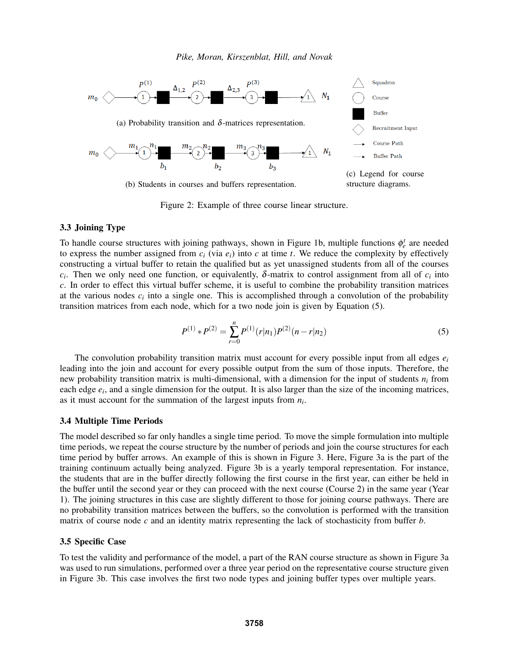

Figure 2: Example of three course linear structure.

### 3.3 Joining Type

To handle course structures with joining pathways, shown in Figure 1b, multiple functions  $\phi_e^t$  are needed to express the number assigned from  $c_i$  (via  $e_i$ ) into  $c$  at time  $t$ . We reduce the complexity by effectively constructing a virtual buffer to retain the qualified but as yet unassigned students from all of the courses *c*<sub>*i*</sub>. Then we only need one function, or equivalently,  $\delta$ -matrix to control assignment from all of  $c_i$  into *c*. In order to effect this virtual buffer scheme, it is useful to combine the probability transition matrices at the various nodes  $c_i$  into a single one. This is accomplished through a convolution of the probability transition matrices from each node, which for a two node join is given by Equation (5).

$$
P^{(1)} * P^{(2)} = \sum_{r=0}^{n} P^{(1)}(r|n_1)P^{(2)}(n-r|n_2)
$$
\n(5)

The convolution probability transition matrix must account for every possible input from all edges *e<sup>i</sup>* leading into the join and account for every possible output from the sum of those inputs. Therefore, the new probability transition matrix is multi-dimensional, with a dimension for the input of students *n<sup>i</sup>* from each edge  $e_i$ , and a single dimension for the output. It is also larger than the size of the incoming matrices, as it must account for the summation of the largest inputs from  $n_i$ .

### 3.4 Multiple Time Periods

The model described so far only handles a single time period. To move the simple formulation into multiple time periods, we repeat the course structure by the number of periods and join the course structures for each time period by buffer arrows. An example of this is shown in Figure 3. Here, Figure 3a is the part of the training continuum actually being analyzed. Figure 3b is a yearly temporal representation. For instance, the students that are in the buffer directly following the first course in the first year, can either be held in the buffer until the second year or they can proceed with the next course (Course 2) in the same year (Year 1). The joining structures in this case are slightly different to those for joining course pathways. There are no probability transition matrices between the buffers, so the convolution is performed with the transition matrix of course node *c* and an identity matrix representing the lack of stochasticity from buffer *b*.

#### 3.5 Specific Case

To test the validity and performance of the model, a part of the RAN course structure as shown in Figure 3a was used to run simulations, performed over a three year period on the representative course structure given in Figure 3b. This case involves the first two node types and joining buffer types over multiple years.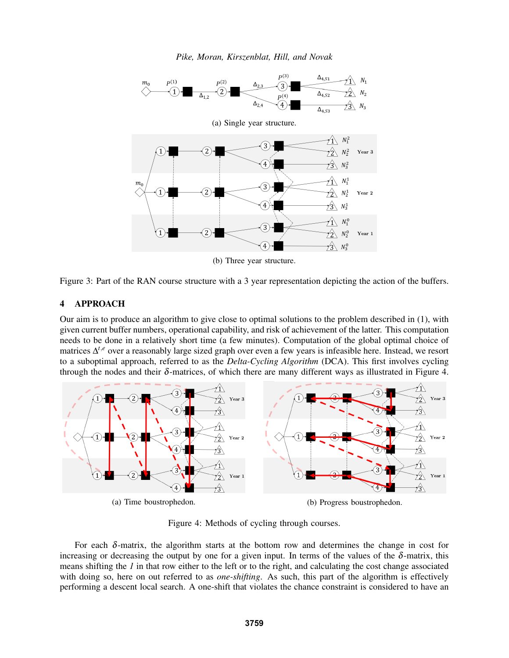*Pike, Moran, Kirszenblat, Hill, and Novak*



(b) Three year structure.

Figure 3: Part of the RAN course structure with a 3 year representation depicting the action of the buffers.

# 4 APPROACH

Our aim is to produce an algorithm to give close to optimal solutions to the problem described in (1), with given current buffer numbers, operational capability, and risk of achievement of the latter. This computation needs to be done in a relatively short time (a few minutes). Computation of the global optimal choice of matrices ∆ *<sup>t</sup>*,*<sup>e</sup>* over a reasonably large sized graph over even a few years is infeasible here. Instead, we resort to a suboptimal approach, referred to as the *Delta-Cycling Algorithm* (DCA). This first involves cycling through the nodes and their  $\delta$ -matrices, of which there are many different ways as illustrated in Figure 4.



Figure 4: Methods of cycling through courses.

For each  $\delta$ -matrix, the algorithm starts at the bottom row and determines the change in cost for increasing or decreasing the output by one for a given input. In terms of the values of the  $\delta$ -matrix, this means shifting the *1* in that row either to the left or to the right, and calculating the cost change associated with doing so, here on out referred to as *one-shifting*. As such, this part of the algorithm is effectively performing a descent local search. A one-shift that violates the chance constraint is considered to have an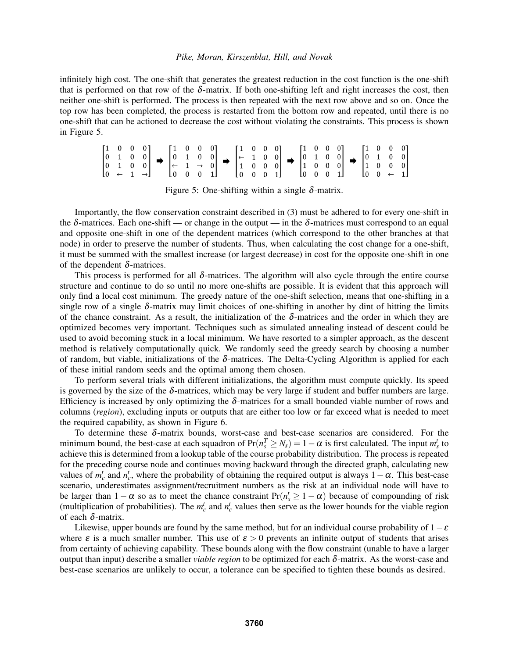infinitely high cost. The one-shift that generates the greatest reduction in the cost function is the one-shift that is performed on that row of the  $\delta$ -matrix. If both one-shifting left and right increases the cost, then neither one-shift is performed. The process is then repeated with the next row above and so on. Once the top row has been completed, the process is restarted from the bottom row and repeated, until there is no one-shift that can be actioned to decrease the cost without violating the constraints. This process is shown in Figure 5.

| $\begin{bmatrix} 1 & 0 & 0 & 0 \end{bmatrix}$ |  |                                                                                                                                                                                                                                                                                                                                                                                                       | 1000                                          |  |  | $\begin{bmatrix} 1 & 0 & 0 & 0 \end{bmatrix}$ |  |  | $\begin{bmatrix} 1 & 0 & 0 & 0 \end{bmatrix}$ |  |  |  | $\begin{bmatrix} 1 & 0 & 0 & 0 \end{bmatrix}$          |  |
|-----------------------------------------------|--|-------------------------------------------------------------------------------------------------------------------------------------------------------------------------------------------------------------------------------------------------------------------------------------------------------------------------------------------------------------------------------------------------------|-----------------------------------------------|--|--|-----------------------------------------------|--|--|-----------------------------------------------|--|--|--|--------------------------------------------------------|--|
|                                               |  |                                                                                                                                                                                                                                                                                                                                                                                                       |                                               |  |  |                                               |  |  |                                               |  |  |  |                                                        |  |
|                                               |  | $\begin{bmatrix} 0 & 1 & 0 & 0 \\ 0 & 1 & 0 & 0 \end{bmatrix}$ $\rightarrow$ $\begin{bmatrix} 0 & 1 & 0 & 0 \\ \leftarrow & 1 & \rightarrow & 0 \end{bmatrix}$ $\rightarrow$ $\begin{bmatrix} - & 1 & 0 & 0 \\ 1 & 0 & 0 & 0 \end{bmatrix}$ $\rightarrow$ $\begin{bmatrix} 0 & 1 & 0 & 0 \\ 1 & 0 & 0 & 0 \end{bmatrix}$ $\rightarrow$ $\begin{bmatrix} 0 & 1 & 0 & 0 \\ 1 & 0 & 0 & 0 \end{bmatrix}$ |                                               |  |  |                                               |  |  |                                               |  |  |  |                                                        |  |
| $[0 \leftarrow 1 \rightarrow]$                |  |                                                                                                                                                                                                                                                                                                                                                                                                       | $\begin{bmatrix} 0 & 0 & 0 & 1 \end{bmatrix}$ |  |  | $\begin{bmatrix} 0 & 0 & 0 & 1 \end{bmatrix}$ |  |  | $\begin{bmatrix} 0 & 0 & 0 & 1 \end{bmatrix}$ |  |  |  | $\begin{bmatrix} 0 & 0 & \leftarrow & 1 \end{bmatrix}$ |  |

Figure 5: One-shifting within a single  $\delta$ -matrix.

Importantly, the flow conservation constraint described in (3) must be adhered to for every one-shift in the  $\delta$ -matrices. Each one-shift — or change in the output — in the  $\delta$ -matrices must correspond to an equal and opposite one-shift in one of the dependent matrices (which correspond to the other branches at that node) in order to preserve the number of students. Thus, when calculating the cost change for a one-shift, it must be summed with the smallest increase (or largest decrease) in cost for the opposite one-shift in one of the dependent  $\delta$ -matrices.

This process is performed for all  $\delta$ -matrices. The algorithm will also cycle through the entire course structure and continue to do so until no more one-shifts are possible. It is evident that this approach will only find a local cost minimum. The greedy nature of the one-shift selection, means that one-shifting in a single row of a single  $\delta$ -matrix may limit choices of one-shifting in another by dint of hitting the limits of the chance constraint. As a result, the initialization of the  $\delta$ -matrices and the order in which they are optimized becomes very important. Techniques such as simulated annealing instead of descent could be used to avoid becoming stuck in a local minimum. We have resorted to a simpler approach, as the descent method is relatively computationally quick. We randomly seed the greedy search by choosing a number of random, but viable, initializations of the  $\delta$ -matrices. The Delta-Cycling Algorithm is applied for each of these initial random seeds and the optimal among them chosen.

To perform several trials with different initializations, the algorithm must compute quickly. Its speed is governed by the size of the  $\delta$ -matrices, which may be very large if student and buffer numbers are large. Efficiency is increased by only optimizing the  $\delta$ -matrices for a small bounded viable number of rows and columns (*region*), excluding inputs or outputs that are either too low or far exceed what is needed to meet the required capability, as shown in Figure 6.

To determine these  $\delta$ -matrix bounds, worst-case and best-case scenarios are considered. For the minimum bound, the best-case at each squadron of  $Pr(n_s^T \ge N_s) = 1 - \alpha$  is first calculated. The input  $m_s^t$  to achieve this is determined from a lookup table of the course probability distribution. The process is repeated for the preceding course node and continues moving backward through the directed graph, calculating new values of  $m_c^t$  and  $n_c^t$ , where the probability of obtaining the required output is always  $1-\alpha$ . This best-case scenario, underestimates assignment/recruitment numbers as the risk at an individual node will have to be larger than  $1-\alpha$  so as to meet the chance constraint  $Pr(n_s^t \geq 1-\alpha)$  because of compounding of risk (multiplication of probabilities). The  $m_c^t$  and  $n_c^t$  values then serve as the lower bounds for the viable region of each  $\delta$ -matrix.

Likewise, upper bounds are found by the same method, but for an individual course probability of  $1-\varepsilon$ where  $\varepsilon$  is a much smaller number. This use of  $\varepsilon > 0$  prevents an infinite output of students that arises from certainty of achieving capability. These bounds along with the flow constraint (unable to have a larger output than input) describe a smaller *viable region* to be optimized for each δ-matrix. As the worst-case and best-case scenarios are unlikely to occur, a tolerance can be specified to tighten these bounds as desired.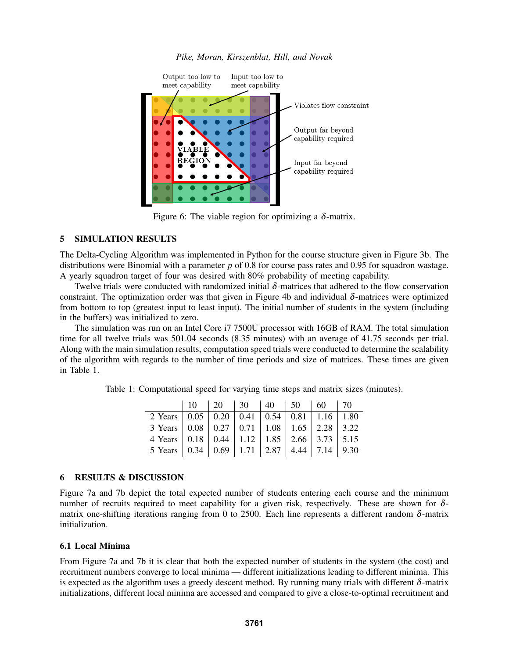

*Pike, Moran, Kirszenblat, Hill, and Novak*

Figure 6: The viable region for optimizing a  $\delta$ -matrix.

# 5 SIMULATION RESULTS

The Delta-Cycling Algorithm was implemented in Python for the course structure given in Figure 3b. The distributions were Binomial with a parameter *p* of 0.8 for course pass rates and 0.95 for squadron wastage. A yearly squadron target of four was desired with 80% probability of meeting capability.

Twelve trials were conducted with randomized initial  $\delta$ -matrices that adhered to the flow conservation constraint. The optimization order was that given in Figure 4b and individual  $\delta$ -matrices were optimized from bottom to top (greatest input to least input). The initial number of students in the system (including in the buffers) was initialized to zero.

The simulation was run on an Intel Core i7 7500U processor with 16GB of RAM. The total simulation time for all twelve trials was 501.04 seconds (8.35 minutes) with an average of 41.75 seconds per trial. Along with the main simulation results, computation speed trials were conducted to determine the scalability of the algorithm with regards to the number of time periods and size of matrices. These times are given in Table 1.

Table 1: Computational speed for varying time steps and matrix sizes (minutes).

|                                                                                        |  | $10 \t 20 \t 30 \t 40 \t 50 \t 60 \t 70$ |  |  |
|----------------------------------------------------------------------------------------|--|------------------------------------------|--|--|
| $\overline{2 \text{ Years}}$ 0.05 0.20 0.41 0.54 0.81 1.16 1.80                        |  |                                          |  |  |
| 3 Years   0.08   0.27   0.71   1.08   1.65   2.28   3.22                               |  |                                          |  |  |
| 4 Years   0.18   0.44   1.12   1.85   2.66   3.73   5.15                               |  |                                          |  |  |
| 5 Years $\vert 0.34 \vert 0.69 \vert 1.71 \vert 2.87 \vert 4.44 \vert 7.14 \vert 9.30$ |  |                                          |  |  |

# 6 RESULTS & DISCUSSION

Figure 7a and 7b depict the total expected number of students entering each course and the minimum number of recruits required to meet capability for a given risk, respectively. These are shown for  $\delta$ matrix one-shifting iterations ranging from 0 to 2500. Each line represents a different random δ-matrix initialization.

# 6.1 Local Minima

From Figure 7a and 7b it is clear that both the expected number of students in the system (the cost) and recruitment numbers converge to local minima — different initializations leading to different minima. This is expected as the algorithm uses a greedy descent method. By running many trials with different  $\delta$ -matrix initializations, different local minima are accessed and compared to give a close-to-optimal recruitment and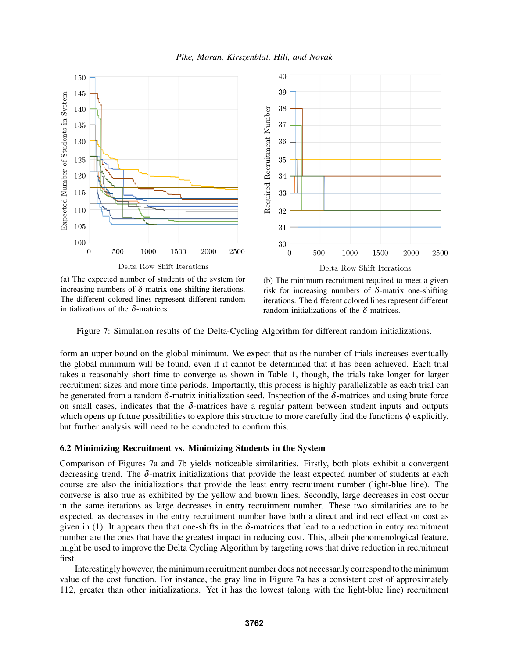



(a) The expected number of students of the system for increasing numbers of  $\delta$ -matrix one-shifting iterations. The different colored lines represent different random initializations of the  $\delta$ -matrices.

(b) The minimum recruitment required to meet a given risk for increasing numbers of  $\delta$ -matrix one-shifting iterations. The different colored lines represent different random initializations of the δ-matrices.

Figure 7: Simulation results of the Delta-Cycling Algorithm for different random initializations.

form an upper bound on the global minimum. We expect that as the number of trials increases eventually the global minimum will be found, even if it cannot be determined that it has been achieved. Each trial takes a reasonably short time to converge as shown in Table 1, though, the trials take longer for larger recruitment sizes and more time periods. Importantly, this process is highly parallelizable as each trial can be generated from a random  $\delta$ -matrix initialization seed. Inspection of the  $\delta$ -matrices and using brute force on small cases, indicates that the  $\delta$ -matrices have a regular pattern between student inputs and outputs which opens up future possibilities to explore this structure to more carefully find the functions  $\phi$  explicitly, but further analysis will need to be conducted to confirm this.

## 6.2 Minimizing Recruitment vs. Minimizing Students in the System

Comparison of Figures 7a and 7b yields noticeable similarities. Firstly, both plots exhibit a convergent decreasing trend. The  $\delta$ -matrix initializations that provide the least expected number of students at each course are also the initializations that provide the least entry recruitment number (light-blue line). The converse is also true as exhibited by the yellow and brown lines. Secondly, large decreases in cost occur in the same iterations as large decreases in entry recruitment number. These two similarities are to be expected, as decreases in the entry recruitment number have both a direct and indirect effect on cost as given in (1). It appears then that one-shifts in the  $\delta$ -matrices that lead to a reduction in entry recruitment number are the ones that have the greatest impact in reducing cost. This, albeit phenomenological feature, might be used to improve the Delta Cycling Algorithm by targeting rows that drive reduction in recruitment first.

Interestingly however, the minimum recruitment number does not necessarily correspond to the minimum value of the cost function. For instance, the gray line in Figure 7a has a consistent cost of approximately 112, greater than other initializations. Yet it has the lowest (along with the light-blue line) recruitment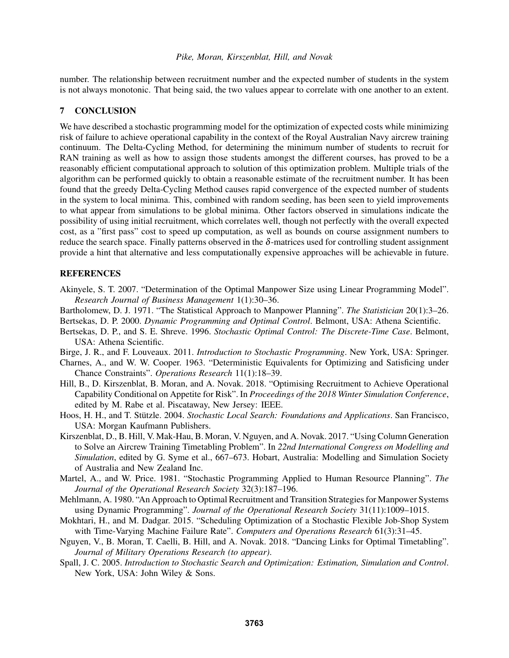number. The relationship between recruitment number and the expected number of students in the system is not always monotonic. That being said, the two values appear to correlate with one another to an extent.

# 7 CONCLUSION

We have described a stochastic programming model for the optimization of expected costs while minimizing risk of failure to achieve operational capability in the context of the Royal Australian Navy aircrew training continuum. The Delta-Cycling Method, for determining the minimum number of students to recruit for RAN training as well as how to assign those students amongst the different courses, has proved to be a reasonably efficient computational approach to solution of this optimization problem. Multiple trials of the algorithm can be performed quickly to obtain a reasonable estimate of the recruitment number. It has been found that the greedy Delta-Cycling Method causes rapid convergence of the expected number of students in the system to local minima. This, combined with random seeding, has been seen to yield improvements to what appear from simulations to be global minima. Other factors observed in simulations indicate the possibility of using initial recruitment, which correlates well, though not perfectly with the overall expected cost, as a "first pass" cost to speed up computation, as well as bounds on course assignment numbers to reduce the search space. Finally patterns observed in the δ-matrices used for controlling student assignment provide a hint that alternative and less computationally expensive approaches will be achievable in future.

# **REFERENCES**

- Akinyele, S. T. 2007. "Determination of the Optimal Manpower Size using Linear Programming Model". *Research Journal of Business Management* 1(1):30–36.
- Bartholomew, D. J. 1971. "The Statistical Approach to Manpower Planning". *The Statistician* 20(1):3–26.
- Bertsekas, D. P. 2000. *Dynamic Programming and Optimal Control*. Belmont, USA: Athena Scientific.
- Bertsekas, D. P., and S. E. Shreve. 1996. *Stochastic Optimal Control: The Discrete-Time Case*. Belmont, USA: Athena Scientific.
- Birge, J. R., and F. Louveaux. 2011. *Introduction to Stochastic Programming*. New York, USA: Springer.
- Charnes, A., and W. W. Cooper. 1963. "Deterministic Equivalents for Optimizing and Satisficing under Chance Constraints". *Operations Research* 11(1):18–39.
- Hill, B., D. Kirszenblat, B. Moran, and A. Novak. 2018. "Optimising Recruitment to Achieve Operational Capability Conditional on Appetite for Risk". In *Proceedings of the 2018 Winter Simulation Conference*, edited by M. Rabe et al. Piscataway, New Jersey: IEEE.
- Hoos, H. H., and T. Stützle. 2004. Stochastic Local Search: Foundations and Applications. San Francisco, USA: Morgan Kaufmann Publishers.
- Kirszenblat, D., B. Hill, V. Mak-Hau, B. Moran, V. Nguyen, and A. Novak. 2017. "Using Column Generation to Solve an Aircrew Training Timetabling Problem". In *22nd International Congress on Modelling and Simulation*, edited by G. Syme et al., 667–673. Hobart, Australia: Modelling and Simulation Society of Australia and New Zealand Inc.
- Martel, A., and W. Price. 1981. "Stochastic Programming Applied to Human Resource Planning". *The Journal of the Operational Research Society* 32(3):187–196.
- Mehlmann, A. 1980. "An Approach to Optimal Recruitment and Transition Strategies for Manpower Systems using Dynamic Programming". *Journal of the Operational Research Society* 31(11):1009–1015.
- Mokhtari, H., and M. Dadgar. 2015. "Scheduling Optimization of a Stochastic Flexible Job-Shop System with Time-Varying Machine Failure Rate". *Computers and Operations Research* 61(3):31–45.
- Nguyen, V., B. Moran, T. Caelli, B. Hill, and A. Novak. 2018. "Dancing Links for Optimal Timetabling". *Journal of Military Operations Research (to appear)*.
- Spall, J. C. 2005. *Introduction to Stochastic Search and Optimization: Estimation, Simulation and Control*. New York, USA: John Wiley & Sons.